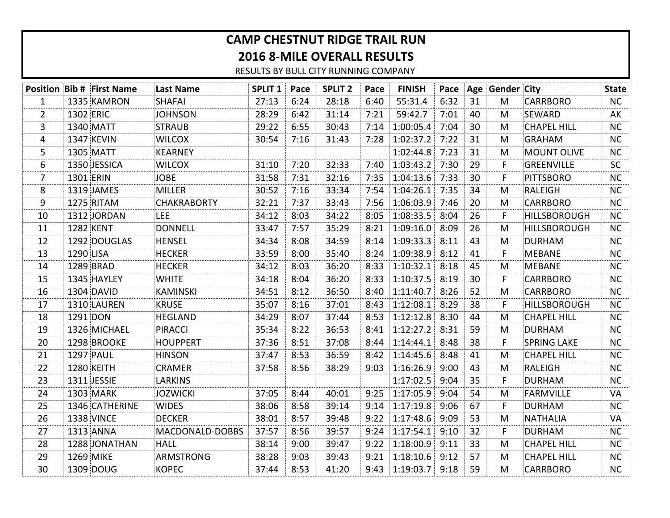## **CAMP CHESTNUT RIDGE TRAIL RUN 2016 8-MILE OVERALL RESULTS**

RESULTS BY BULL CITY RUNNING COMPANY

|                |           | <b>Position Bib # First Name</b> | Last Name          | <b>SPLIT 1 Pace</b> |      | <b>SPLIT 2</b> | Pace | <b>FINISH</b>         |      |    | Pace Age Gender City |                     | <b>State</b> |
|----------------|-----------|----------------------------------|--------------------|---------------------|------|----------------|------|-----------------------|------|----|----------------------|---------------------|--------------|
| $\mathbf{1}$   |           | 1335 KAMRON                      | <b>SHAFAI</b>      | 27:13               | 6:24 | 28:18          | 6:40 | 55:31.4               | 6:32 | 31 | M                    | <b>CARRBORO</b>     | NC           |
| $\overline{2}$ | 1302 ERIC |                                  | <b>JOHNSON</b>     | 28:29               | 6:42 | 31:14          | 7:21 | 59:42.7               | 7:01 | 40 | M                    | SEWARD              | AK           |
| 3              |           | 1340 MATT                        | <b>STRAUB</b>      | 29:22               | 6:55 | 30:43          | 7:14 | 1:00:05.4             | 7:04 | 30 | M                    | <b>CHAPEL HILL</b>  | <b>NC</b>    |
| 4              |           | 1347 KEVIN                       | <b>WILCOX</b>      | 30:54               | 7:16 | 31:43          | 7:28 | $1:02:37.2$ 7:22      |      | 31 | M                    | <b>GRAHAM</b>       | NC           |
| 5              |           | 1305 MATT                        | <b>KEARNEY</b>     |                     |      |                |      | 1:02:44.8 7:23        |      | 31 | M                    | <b>MOUNT OLIVE</b>  | NC           |
| 6              |           | 1350 JESSICA                     | <b>WILCOX</b>      | 31:10               | 7:20 | 32:33          |      | 7:40 1:03:43.2 7:30   |      | 29 | F                    | <b>GREENVILLE</b>   | <b>SC</b>    |
| $\overline{7}$ | 1301 ERIN |                                  | <b>JOBE</b>        | 31:58               | 7:31 | 32:16          | 7:35 | $1:04:13.6$ 7:33      |      | 30 | F                    | <b>PITTSBORO</b>    | <b>NC</b>    |
| 8              |           | 1319 JAMES                       | <b>MILLER</b>      | 30:52               | 7:16 | 33:34          | 7:54 | 1:04:26.1 7:35        |      | 34 | M                    | RALEIGH             | <b>NC</b>    |
| 9              |           | 1275 RITAM                       | <b>CHAKRABORTY</b> | 32:21               | 7:37 | 33:43          |      | 7:56 1:06:03.9 7:46   |      | 20 | M                    | <b>CARRBORO</b>     | NC           |
| 10             |           | 1312 JORDAN                      | <b>LEE</b>         | 34:12               | 8:03 | 34:22          | 8:05 | 1:08:33.5 8:04        |      | 26 | F                    | <b>HILLSBOROUGH</b> | NC           |
| 11             |           | 1282 KENT                        | DONNELL            | 33:47               | 7:57 | 35:29          |      | $8:21$ 1:09:16.0 8:09 |      | 26 | M                    | <b>HILLSBOROUGH</b> | NC           |
| 12             |           | 1292 DOUGLAS                     | HENSEL             | 34:34               | 8:08 | 34:59          |      | $8:14$ 1:09:33.3 8:11 |      | 43 | M                    | <b>DURHAM</b>       | <b>NC</b>    |
| 13             | 1290 LISA |                                  | <b>HECKER</b>      | 33:59               | 8:00 | 35:40          | 8:24 | 1:09:38.9 8:12        |      | 41 | F                    | <b>MEBANE</b>       | <b>NC</b>    |
| 14             |           | 1289 BRAD                        | HECKER             | 34:12               | 8:03 | 36:20          |      | $8:33$ 1:10:32.1 8:18 |      | 45 | M                    | <b>MEBANE</b>       | <b>NC</b>    |
| 15             |           | 1345 HAYLEY                      | <b>WHITE</b>       | 34:18               | 8:04 | 36:20          | 8:33 | 1:10:37.5 8:19        |      | 30 | F                    | <b>CARRBORO</b>     | NC           |
| 16             |           | 1304 DAVID                       | KAMINSKI           | 34:51               | 8:12 | 36:50          |      | $8:40$ 1:11:40.7 8:26 |      | 52 | M                    | <b>CARRBORO</b>     | NC           |
| 17             |           | 1310 LAUREN                      | <b>KRUSE</b>       | 35:07               | 8:16 | 37:01          | 8:43 | 1:12:08.1 8:29        |      | 38 | F                    | <b>HILLSBOROUGH</b> | <b>NC</b>    |
| 18             | 1291 DON  |                                  | HEGLAND            | 34:29               | 8:07 | 37:44          | 8:53 | $1:12:12.8$ 8:30      |      | 44 | M                    | <b>CHAPEL HILL</b>  | NC           |
| 19             |           | 1326 MICHAEL                     | PIRACCI            | 35:34               | 8:22 | 36:53          |      | $8:41$ 1:12:27.2 8:31 |      | 59 | M                    | <b>DURHAM</b>       | NC           |
| 20             |           | 1298 BROOKE                      | <b>HOUPPERT</b>    | 37:36               | 8:51 | 37:08          | 8:44 | $1:14:44.1$ 8:48      |      | 38 | F                    | <b>SPRING LAKE</b>  | NC           |
| 21             |           | 1297 PAUL                        | <b>HINSON</b>      | 37:47               | 8:53 | 36:59          | 8:42 | 1:14:45.6 8:48        |      | 41 | M                    | <b>CHAPEL HILL</b>  | NC           |
| 22             |           | 1280 KEITH                       | <b>CRAMER</b>      | 37:58               | 8:56 | 38:29          | 9:03 | $1:16:26.9$ 9:00      |      | 43 | M                    | <b>RALEIGH</b>      | NC           |
| 23             |           | 1311 JESSIE                      | <b>LARKINS</b>     |                     |      |                |      | $1:17:02.5$ 9:04      |      | 35 | F                    | <b>DURHAM</b>       | <b>NC</b>    |
| 24             |           | 1303 MARK                        | JOZWICKI           | 37:05               | 8:44 | 40:01          |      | $9:25$ 1:17:05.9 9:04 |      | 54 | M                    | <b>FARMVILLE</b>    | VA           |
| 25             |           | 1346 CATHERINE                   | <b>WIDES</b>       | 38:06               | 8:58 | 39:14          | 9:14 | $1:17:19.8$ 9:06      |      | 67 | F                    | <b>DURHAM</b>       | <b>NC</b>    |
| 26             |           | 1338 VINCE                       | DECKER             | 38:01               | 8:57 | 39:48          |      | $9:22$ 1:17:48.6 9:09 |      | 53 | M                    | <b>NATHALIA</b>     | VA           |
| 27             |           | 1313 ANNA                        | MACDONALD-DOBBS    | 37:57               | 8:56 | 39:57          | 9:24 | $1:17:54.1$ 9:10      |      | 32 | F                    | <b>DURHAM</b>       | <b>NC</b>    |
| 28             |           | 1288 JONATHAN                    | HALL               | 38:14               | 9:00 | 39:47          | 9:22 | $1:18:00.9$ 9:11      |      | 33 | M                    | <b>CHAPEL HILL</b>  | NC           |
| 29             |           | 1269 MIKE                        | ARMSTRONG          | 38:28               | 9:03 | 39:43          |      | $9:21$ 1:18:10.6 9:12 |      | 57 | M                    | <b>CHAPEL HILL</b>  | NC           |
| 30             |           | 1309 DOUG                        | <b>KOPEC</b>       | 37:44               | 8:53 | 41:20          |      | $9:43$ 1:19:03.7 9:18 |      | 59 | M                    | <b>CARRBORO</b>     | NC           |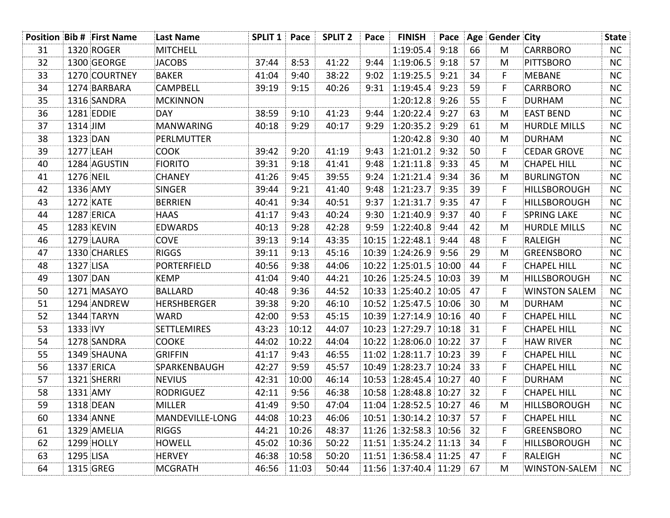|    | <b>Position Bib # First Name</b> | <b>Last Name</b>   | <b>SPLIT 1 Pace</b> |       | <b>SPLIT 2</b> | Pace | <b>FINISH</b>              |    | Pace Age Gender City |                      | <b>State</b> |
|----|----------------------------------|--------------------|---------------------|-------|----------------|------|----------------------------|----|----------------------|----------------------|--------------|
| 31 | 1320 ROGER                       | MITCHELL           |                     |       |                |      | $1:19:05.4$ 9:18           | 66 | M                    | <b>CARRBORO</b>      | NC           |
| 32 | 1300 GEORGE                      | <b>JACOBS</b>      | 37:44               | 8:53  | 41:22          | 9:44 | 1:19:06.5 9:18             | 57 | M                    | <b>PITTSBORO</b>     | <b>NC</b>    |
| 33 | 1270 COURTNEY                    | <b>BAKER</b>       | 41:04               | 9:40  | 38:22          | 9:02 | $1:19:25.5$ 9:21           | 34 | F                    | <b>MEBANE</b>        | NC           |
| 34 | 1274 BARBARA                     | <b>CAMPBELL</b>    | 39:19               | 9:15  | 40:26          | 9:31 | $1:19:45.4$ 9:23           | 59 | F                    | <b>CARRBORO</b>      | <b>NC</b>    |
| 35 | 1316 SANDRA                      | MCKINNON           |                     |       |                |      | 1:20:12.8 9:26             | 55 | F                    | <b>DURHAM</b>        | NC           |
| 36 | 1281 EDDIE                       | <b>DAY</b>         | 38:59               | 9:10  | 41:23          | 9:44 | 1:20:22.4 9:27             | 63 | M                    | <b>EAST BEND</b>     | <b>NC</b>    |
| 37 | $1314$ JIM                       | MANWARING          | 40:18               | 9:29  | 40:17          | 9:29 | 1:20:35.2 9:29             | 61 | M                    | <b>HURDLE MILLS</b>  | NC           |
| 38 | 1323 DAN                         | PERLMUTTER         |                     |       |                |      | 1:20:42.8 9:30             | 40 | M                    | <b>DURHAM</b>        | <b>NC</b>    |
| 39 | 1277 LEAH                        | <b>COOK</b>        | 39:42               | 9:20  | 41:19          | 9:43 | $1:21:01.2$ 9:32           | 50 | F.                   | <b>CEDAR GROVE</b>   | <b>NC</b>    |
| 40 | 1284 AGUSTIN                     | <b>FIORITO</b>     | 39:31               | 9:18  | 41:41          | 9:48 | $1:21:11.8$ 9:33           | 45 | M                    | <b>CHAPEL HILL</b>   | <b>NC</b>    |
| 41 | 1276 NEIL                        | <b>CHANEY</b>      | 41:26               | 9:45  | 39:55          | 9:24 | $1:21:21.4$ 9:34           | 36 | M                    | <b>BURLINGTON</b>    | NC           |
| 42 | 1336 AMY                         | <b>SINGER</b>      | 39:44               | 9:21  | 41:40          | 9:48 | 1:21:23.7 9:35             | 39 | F                    | <b>HILLSBOROUGH</b>  | <b>NC</b>    |
| 43 | 1272 KATE                        | <b>BERRIEN</b>     | 40:41               | 9:34  | 40:51          | 9:37 | $1:21:31.7$ 9:35           | 47 | F                    | HILLSBOROUGH         | <b>NC</b>    |
| 44 | 1287 ERICA                       | <b>HAAS</b>        | 41:17               | 9:43  | 40:24          | 9:30 | 1:21:40.9 9:37             | 40 | F                    | <b>SPRING LAKE</b>   | <b>NC</b>    |
| 45 | 1283 KEVIN                       | <b>EDWARDS</b>     | 40:13               | 9:28  | 42:28          |      | $9:59$ 1:22:40.8 9:44      | 42 | M                    | <b>HURDLE MILLS</b>  | NC           |
| 46 | 1279 LAURA                       | COVE               | 39:13               | 9:14  | 43:35          |      | 10:15 1:22:48.1 9:44       | 48 | F                    | RALEIGH              | <b>NC</b>    |
| 47 | 1330 CHARLES                     | <b>RIGGS</b>       | 39:11               | 9:13  | 45:16          |      | 10:39 1:24:26.9 9:56       | 29 | M                    | GREENSBORO           | <b>NC</b>    |
| 48 | 1327 LISA                        | <b>PORTERFIELD</b> | 40:56               | 9:38  | 44:06          |      | $10:22$ 1:25:01.5 10:00    | 44 | F                    | <b>CHAPEL HILL</b>   | <b>NC</b>    |
| 49 | 1307 DAN                         | <b>KEMP</b>        | 41:04               | 9:40  | 44:21          |      | 10:26 1:25:24.5 10:03 39   |    | M                    | <b>HILLSBOROUGH</b>  | NC           |
| 50 | 1271 MASAYO                      | <b>BALLARD</b>     | 40:48               | 9:36  | 44:52          |      | 10:33 1:25:40.2 10:05 47   |    | F                    | <b>WINSTON SALEM</b> | <b>NC</b>    |
| 51 | 1294 ANDREW                      | HERSHBERGER        | 39:38               | 9:20  | 46:10          |      | 10:52 1:25:47.5 10:06 30   |    | M                    | <b>DURHAM</b>        | NC           |
| 52 | 1344 TARYN                       | WARD               | 42:00               | 9:53  | 45:15          |      | 10:39 1:27:14.9 10:16 40   |    | F                    | <b>CHAPEL HILL</b>   | <b>NC</b>    |
| 53 | 1333 IVY                         | SETTLEMIRES        | 43:23               | 10:12 | 44:07          |      | 10:23 1:27:29.7 10:18 31   |    | F                    | <b>CHAPEL HILL</b>   | NC           |
| 54 | 1278 SANDRA                      | <b>COOKE</b>       | 44:02               | 10:22 | 44:04          |      | 10:22 1:28:06.0 10:22 37   |    | F                    | <b>HAW RIVER</b>     | <b>NC</b>    |
| 55 | 1349 SHAUNA                      | GRIFFIN            | 41:17               | 9:43  | 46:55          |      | 11:02 1:28:11.7 10:23 39   |    | F                    | <b>CHAPEL HILL</b>   | <b>NC</b>    |
| 56 | 1337 ERICA                       | SPARKENBAUGH       | 42:27               | 9:59  | 45:57          |      | 10:49 1:28:23.7 10:24 33   |    | F                    | <b>CHAPEL HILL</b>   | <b>NC</b>    |
| 57 | 1321 SHERRI                      | NEVIUS             | 42:31               | 10:00 | 46:14          |      | 10:53 1:28:45.4 10:27 40   |    | F                    | <b>DURHAM</b>        | NC           |
| 58 | 1331 AMY                         | <b>RODRIGUEZ</b>   | 42:11               | 9:56  | 46:38          |      | 10:58 1:28:48.8 10:27 32   |    | F                    | <b>CHAPEL HILL</b>   | <b>NC</b>    |
| 59 | 1318 DEAN                        | MILLER             | 41:49               | 9:50  | 47:04          |      | $11:04$ 1:28:52.5 10:27 46 |    | M                    | HILLSBOROUGH         | NC           |
| 60 | 1334 ANNE                        | MANDEVILLE-LONG    | 44:08               | 10:23 | 46:06          |      | 10:51 1:30:14.2 10:37 57   |    | F                    | <b>CHAPEL HILL</b>   | <b>NC</b>    |
| 61 | 1329 AMELIA                      | <b>RIGGS</b>       | 44:21               | 10:26 | 48:37          |      | 11:26 1:32:58.3 10:56 32   |    | F                    | <b>GREENSBORO</b>    | <b>NC</b>    |
| 62 | 1299 HOLLY                       | <b>HOWELL</b>      | 45:02               | 10:36 | 50:22          |      | 11:51 1:35:24.2 11:13 34   |    | F                    | <b>HILLSBOROUGH</b>  | <b>NC</b>    |
| 63 | 1295 LISA                        | <b>HERVEY</b>      | 46:38               | 10:58 | 50:20          |      | 11:51 1:36:58.4 11:25 47   |    | F                    | RALEIGH              | <b>NC</b>    |
| 64 | 1315 GREG                        | <b>MCGRATH</b>     | 46:56               | 11:03 | 50:44          |      | 11:56 1:37:40.4 11:29 67   |    | M                    | <b>WINSTON-SALEM</b> | NC           |